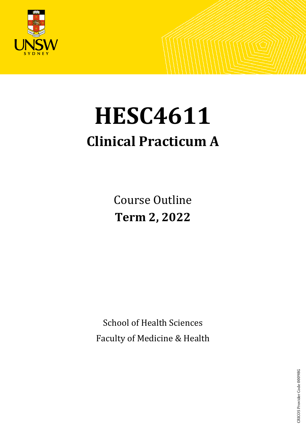

# **HESC4611 Clinical Practicum A**

Course Outline **Term 2, 2022**

School of Health Sciences Faculty of Medicine & Health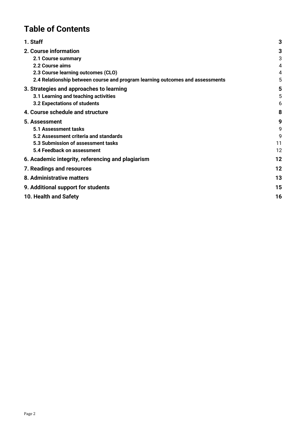# **Table of Contents**

| 1. Staff                                                                      | 3  |
|-------------------------------------------------------------------------------|----|
| 2. Course information                                                         | 3  |
| 2.1 Course summary                                                            | 3  |
| 2.2 Course aims                                                               | 4  |
| 2.3 Course learning outcomes (CLO)                                            | 4  |
| 2.4 Relationship between course and program learning outcomes and assessments | 5  |
| 3. Strategies and approaches to learning                                      | 5  |
| 3.1 Learning and teaching activities                                          | 5  |
| 3.2 Expectations of students                                                  | 6  |
| 4. Course schedule and structure                                              | 8  |
| 5. Assessment                                                                 | 9  |
| 5.1 Assessment tasks                                                          | 9  |
| 5.2 Assessment criteria and standards                                         | 9  |
| 5.3 Submission of assessment tasks                                            | 11 |
| 5.4 Feedback on assessment                                                    | 12 |
| 6. Academic integrity, referencing and plagiarism                             | 12 |
| 7. Readings and resources                                                     | 12 |
| 8. Administrative matters                                                     | 13 |
| 9. Additional support for students                                            | 15 |
| 10. Health and Safety                                                         | 16 |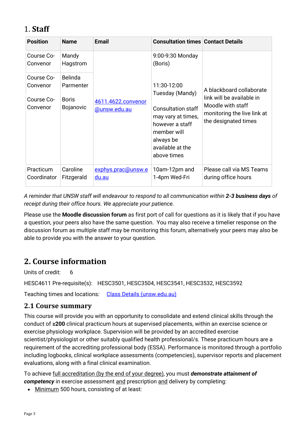# <span id="page-2-0"></span>1. **Staff**

| <b>Position</b>          | <b>Name</b>                 | <b>Email</b>                       | <b>Consultation times Contact Details</b>                                                                                         |                                                                                                       |  |
|--------------------------|-----------------------------|------------------------------------|-----------------------------------------------------------------------------------------------------------------------------------|-------------------------------------------------------------------------------------------------------|--|
| Course Co-<br>Convenor   | Mandy<br>Hagstrom           | 4611.4622.convenor<br>@unsw.edu.au | (Boris)                                                                                                                           | 9:00-9:30 Monday                                                                                      |  |
| Course Co-<br>Convenor   | <b>Belinda</b><br>Parmenter |                                    | 11:30-12:00<br>Tuesday (Mandy)                                                                                                    | A blackboard collaborate                                                                              |  |
| Course Co-<br>Convenor   | <b>Boris</b><br>Bojanovic   |                                    | <b>Consultation staff</b><br>may vary at times,<br>however a staff<br>member will<br>always be<br>available at the<br>above times | link will be available in<br>Moodle with staff<br>monitoring the live link at<br>the designated times |  |
| Practicum<br>Coordinator | Caroline<br>Fitzgerald      | exphys.prac@unsw.e<br>du.au        | 10am-12pm and<br>1-4pm Wed-Fri                                                                                                    | Please call via MS Teams<br>during office hours                                                       |  |

*A reminder that UNSW staff will endeavour to respond to all communication within 2-3 business days of receipt during their office hours. We appreciate your patience.* 

Please use the **Moodle discussion forum** as first port of call for questions as it is likely that if you have a question, your peers also have the same question. You may also receive a timelier response on the discussion forum as multiple staff may be monitoring this forum, alternatively your peers may also be able to provide you with the answer to your question.

# <span id="page-2-1"></span>**2. Course information**

Units of credit: 6

HESC4611 Pre-requisite(s): HESC3501, HESC3504, HESC3541, HESC3532, HESC3592

Teaching times and locations: [Class Details \(unsw.edu.au\)](http://timetable.unsw.edu.au/2022/HESC4611.html)

# <span id="page-2-2"></span>**2.1 Course summary**

This course will provide you with an opportunity to consolidate and extend clinical skills through the conduct of **≥200** clinical practicum hours at supervised placements, within an exercise science or exercise physiology workplace. Supervision will be provided by an accredited exercise scientist/physiologist or other suitably qualified health professional/s. These practicum hours are a requirement of the accrediting professional body (ESSA). Performance is monitored through a portfolio including logbooks, clinical workplace assessments (competencies), supervisor reports and placement evaluations, along with a final clinical examination.

To achieve full accreditation (by the end of your degree), you must *demonstrate attainment of competency* in exercise assessment and prescription and delivery by completing:

• Minimum 500 hours, consisting of at least: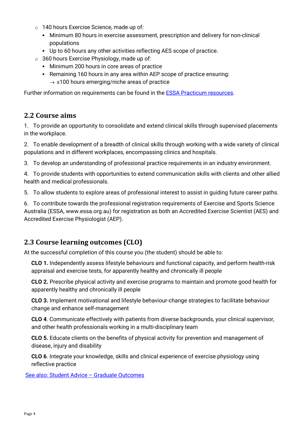- o 140 hours Exercise Science, made up of:
	- Minimum 80 hours in exercise assessment, prescription and delivery for non-clinical populations
	- Up to 60 hours any other activities reflecting AES scope of practice.
- $\circ$  360 hours Exercise Physiology, made up of:
	- **Minimum 200 hours in core areas of practice**
	- Remaining 160 hours in any area within AEP scope of practice ensuring:  $\rightarrow$  ≤100 hours emerging/niche areas of practice

Further information on requirements can be found in the [ESSA Practicum resources.](https://www.essa.org.au/Public/EDUCATION_PROVIDERS/Practicum.aspx)

# <span id="page-3-0"></span>**2.2 Course aims**

1. To provide an opportunity to consolidate and extend clinical skills through supervised placements in the workplace.

2. To enable development of a breadth of clinical skills through working with a wide variety of clinical populations and in different workplaces, encompassing clinics and hospitals.

3. To develop an understanding of professional practice requirements in an industry environment.

4. To provide students with opportunities to extend communication skills with clients and other allied health and medical professionals.

5. To allow students to explore areas of professional interest to assist in guiding future career paths.

6. To contribute towards the professional registration requirements of Exercise and Sports Science Australia (ESSA, www.essa.org.au) for registration as both an Accredited Exercise Scientist (AES) and Accredited Exercise Physiologist (AEP).

# <span id="page-3-1"></span>**2.3 Course learning outcomes (CLO)**

At the successful completion of this course you (the student) should be able to:

**CLO 1.** Independently assess lifestyle behaviours and functional capacity, and perform health-risk appraisal and exercise tests, for apparently healthy and chronically ill people

**CLO 2.** Prescribe physical activity and exercise programs to maintain and promote good health for apparently healthy and chronically ill people

**CLO 3.** Implement motivational and lifestyle behaviour-change strategies to facilitate behaviour change and enhance self-management

**CLO 4**. Communicate effectively with patients from diverse backgrounds, your clinical supervisor, and other health professionals working in a multi-disciplinary team

**CLO 5.** Educate clients on the benefits of physical activity for prevention and management of disease, injury and disability

**CLO 6**. Integrate your knowledge, skills and clinical experience of exercise physiology using reflective practice

[See also: Student Advice – Graduate Outcomes](https://teaching.unsw.edu.au/graduate-capabilities)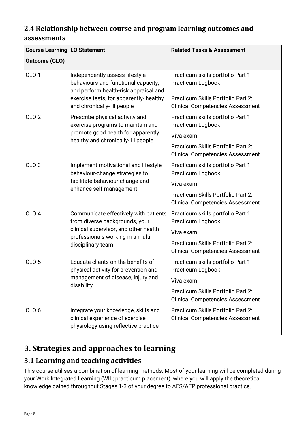# <span id="page-4-0"></span>**2.4 Relationship between course and program learning outcomes and assessments**

| <b>Course Learning LO Statement</b> |                                                                                                                                                                                          | <b>Related Tasks &amp; Assessment</b>                                                                                                                 |
|-------------------------------------|------------------------------------------------------------------------------------------------------------------------------------------------------------------------------------------|-------------------------------------------------------------------------------------------------------------------------------------------------------|
| <b>Outcome (CLO)</b>                |                                                                                                                                                                                          |                                                                                                                                                       |
| CLO <sub>1</sub>                    | Independently assess lifestyle<br>behaviours and functional capacity,<br>and perform health-risk appraisal and<br>exercise tests, for apparently- healthy<br>and chronically- ill people | Practicum skills portfolio Part 1:<br>Practicum Logbook<br>Practicum Skills Portfolio Part 2:<br><b>Clinical Competencies Assessment</b>              |
| CLO <sub>2</sub>                    | Prescribe physical activity and<br>exercise programs to maintain and<br>promote good health for apparently<br>healthy and chronically- ill people                                        | Practicum skills portfolio Part 1:<br>Practicum Logbook<br>Viva exam<br>Practicum Skills Portfolio Part 2:<br><b>Clinical Competencies Assessment</b> |
| CLO <sub>3</sub>                    | Implement motivational and lifestyle<br>behaviour-change strategies to<br>facilitate behaviour change and<br>enhance self-management                                                     | Practicum skills portfolio Part 1:<br>Practicum Logbook<br>Viva exam<br>Practicum Skills Portfolio Part 2:<br><b>Clinical Competencies Assessment</b> |
| CLO <sub>4</sub>                    | Communicate effectively with patients<br>from diverse backgrounds, your<br>clinical supervisor, and other health<br>professionals working in a multi-<br>disciplinary team               | Practicum skills portfolio Part 1:<br>Practicum Logbook<br>Viva exam<br>Practicum Skills Portfolio Part 2:<br><b>Clinical Competencies Assessment</b> |
| CLO <sub>5</sub>                    | Educate clients on the benefits of<br>physical activity for prevention and<br>management of disease, injury and<br>disability                                                            | Practicum skills portfolio Part 1:<br>Practicum Logbook<br>Viva exam<br>Practicum Skills Portfolio Part 2:<br><b>Clinical Competencies Assessment</b> |
| CLO <sub>6</sub>                    | Integrate your knowledge, skills and<br>clinical experience of exercise<br>physiology using reflective practice                                                                          | Practicum Skills Portfolio Part 2:<br><b>Clinical Competencies Assessment</b>                                                                         |

# <span id="page-4-1"></span>**3. Strategies and approaches to learning**

# <span id="page-4-2"></span>**3.1 Learning and teaching activities**

This course utilises a combination of learning methods. Most of your learning will be completed during your Work Integrated Learning (WIL; practicum placement), where you will apply the theoretical knowledge gained throughout Stages 1-3 of your degree to AES/AEP professional practice.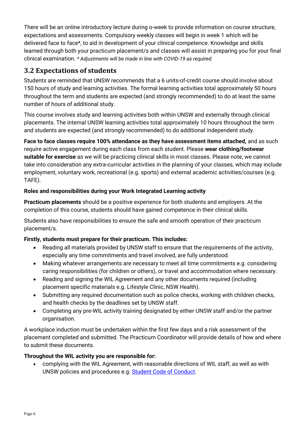There will be an online introductory lecture during o-week to provide information on course structure, expectations and assessments. Compulsory weekly classes will begin in week 1 which will be delivered face to face\*, to aid in development of your clinical competence. Knowledge and skills learned through both your practicum placement/s and classes will assist in preparing you for your final clinical examination. *\* Adjustments will be made in line with COVID-19 as required.*

# <span id="page-5-0"></span>**3.2 Expectations of students**

Students are reminded that UNSW recommends that a 6 units-of-credit course should involve about 150 hours of study and learning activities. The formal learning activities total approximately 50 hours throughout the term and students are expected (and strongly recommended) to do at least the same number of hours of additional study.

This course involves study and learning activities both within UNSW and externally through clinical placements. The internal UNSW learning activities total approximately 10 hours throughout the term and students are expected (and strongly recommended) to do additional independent study.

**Face to face classes require 100% attendance as they have assessment items attached,** and as such require active engagement during each class from each student. Please **wear clothing/footwear suitable for exercise** as we will be practicing clinical skills in most classes. Please note, we cannot take into consideration any extra-curricular activities in the planning of your classes, which may include employment, voluntary work, recreational (e.g. sports) and external academic activities/courses (e.g. TAFE).

# **Roles and responsibilities during your Work Integrated Learning activity**

**Practicum placements** should be a positive experience for both students and employers. At the completion of this course, students should have gained competence in their clinical skills.

Students also have responsibilities to ensure the safe and smooth operation of their practicum placement/s.

# **Firstly, students must prepare for their practicum. This includes:**

- Reading all materials provided by UNSW staff to ensure that the requirements of the activity, especially any time commitments and travel involved, are fully understood.
- Making whatever arrangements are necessary to meet all time commitments e.g. considering caring responsibilities (for children or others), or travel and accommodation where necessary.
- Reading and signing the WIL Agreement and any other documents required (including placement specific materials e.g. Lifestyle Clinic, NSW Health).
- Submitting any required documentation such as police checks, working with children checks, and health checks by the deadlines set by UNSW staff.
- Completing any pre-WIL activity training designated by either UNSW staff and/or the partner organisation.

A workplace induction must be undertaken within the first few days and a risk assessment of the placement completed and submitted. The Practicum Coordinator will provide details of how and where to submit these documents.

# **Throughout the WIL activity you are responsible for:**

• complying with the WIL Agreement, with reasonable directions of WIL staff, as well as with UNSW policies and procedures e.g. [Student Code of Conduct.](https://student.unsw.edu.au/conduct)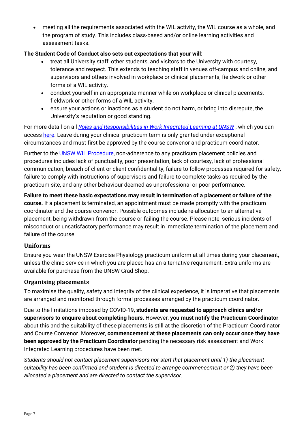• meeting all the requirements associated with the WIL activity, the WIL course as a whole, and the program of study. This includes class-based and/or online learning activities and assessment tasks.

## **The Student Code of Conduct also sets out expectations that your will:**

- treat all University staff, other students, and visitors to the University with courtesy, tolerance and respect. This extends to teaching staff in venues off-campus and online, and supervisors and others involved in workplace or clinical placements, fieldwork or other forms of a WIL activity.
- conduct yourself in an appropriate manner while on workplace or clinical placements, fieldwork or other forms of a WIL activity.
- ensure your actions or inactions as a student do not harm, or bring into disrepute, the University's reputation or good standing.

For more detail on all *[Roles and Responsibilities in Work Integrated Learning at UNSW](https://www.wil.unsw.edu.au/sites/default/files/documents/Roles-and-Responsibilities-for-Work-Integrated-Learning-%28WIL%29-at-UNSW.pdf)* , which you can access [here.](https://www.wil.unsw.edu.au/sites/default/files/documents/Roles-and-Responsibilities-for-Work-Integrated-Learning-%28WIL%29-at-UNSW.pdf) Leave during your clinical practicum term is only granted under exceptional circumstances and must first be approved by the course convenor and practicum coordinator.

Further to the **UNSW WIL Procedure**, non-adherence to any practicum placement policies and procedures includes lack of punctuality, poor presentation, lack of courtesy, lack of professional communication, breach of client or client confidentiality, failure to follow processes required for safety, failure to comply with instructions of supervisors and failure to complete tasks as required by the practicum site, and any other behaviour deemed as unprofessional or poor performance.

**Failure to meet these basic expectations may result in termination of a placement or failure of the course.** If a placement is terminated, an appointment must be made promptly with the practicum coordinator and the course convenor. Possible outcomes include re-allocation to an alternative placement, being withdrawn from the course or failing the course. Please note, serious incidents of misconduct or unsatisfactory performance may result in immediate termination of the placement and failure of the course.

## **Uniforms**

Ensure you wear the UNSW Exercise Physiology practicum uniform at all times during your placement, unless the clinic service in which you are placed has an alternative requirement. Extra uniforms are available for purchase from the UNSW Grad Shop.

## **Organising placements**

To maximise the quality, safety and integrity of the clinical experience, it is imperative that placements are arranged and monitored through formal processes arranged by the practicum coordinator.

Due to the limitations imposed by COVID-19, **students are requested to approach clinics and/or supervisors to enquire about completing hours**. However, **you must notify the Practicum Coordinator** about this and the suitability of these placements is still at the discretion of the Practicum Coordinator and Course Convenor. Moreover, **commencement at these placements can only occur once they have been approved by the Practicum Coordinator** pending the necessary risk assessment and Work Integrated Learning procedures have been met.

*Students should not contact placement supervisors nor start that placement until 1) the placement suitability has been confirmed and student is directed to arrange commencement or 2) they have been allocated a placement and are directed to contact the supervisor*.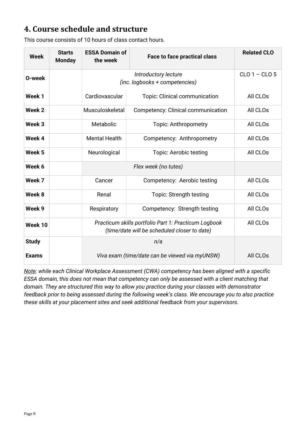# <span id="page-7-0"></span>**4. Course schedule and structure**

| <b>Week</b>  | <b>Starts</b><br><b>Monday</b> | <b>ESSA Domain of</b><br>the week                                                                    | <b>Face to face practical class</b> | <b>Related CLO</b>   |
|--------------|--------------------------------|------------------------------------------------------------------------------------------------------|-------------------------------------|----------------------|
| O-week       |                                | (inc. logbooks + competencies)                                                                       | $CLO 1 - CLO 5$                     |                      |
| Week 1       |                                | Cardiovascular                                                                                       | Topic: Clinical communication       | All CLOs             |
| Week 2       |                                | Musculoskeletal                                                                                      | Competency: Clinical communication  | All CLOs             |
| Week 3       |                                | Metabolic                                                                                            | Topic: Anthropometry                | All CLO <sub>s</sub> |
| Week 4       |                                | <b>Mental Health</b>                                                                                 | Competency: Anthropometry           | All CLOs             |
| Week 5       |                                | Neurological                                                                                         | Topic: Aerobic testing              | All CLOs             |
| Week 6       |                                |                                                                                                      |                                     |                      |
| Week 7       |                                | Cancer                                                                                               | Competency: Aerobic testing         | All CLOs             |
| Week 8       |                                | Renal                                                                                                | Topic: Strength testing             | All CLOs             |
| Week 9       |                                | Respiratory                                                                                          | Competency: Strength testing        | All CLO <sub>s</sub> |
| Week 10      |                                | Practicum skills portfolio Part 1: Practicum Logbook<br>(time/date will be scheduled closer to date) | All CLOs                            |                      |
| <b>Study</b> |                                |                                                                                                      |                                     |                      |
| <b>Exams</b> |                                | Viva exam (time/date can be viewed via myUNSW)                                                       | All CLOs                            |                      |

This course consists of 10 hours of class contact hours.

*Note: while each Clinical Workplace Assessment (CWA) competency has been aligned with a specific ESSA domain, this does not mean that competency can only be assessed with a client matching that domain. They are structured this way to allow you practice during your classes with demonstrator feedback prior to being assessed during the following week's class. We encourage you to also practice these skills at your placement sites and seek additional feedback from your supervisors.*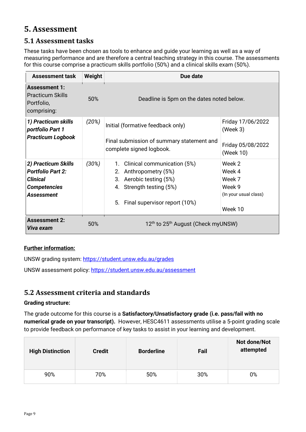# <span id="page-8-0"></span>**5. Assessment**

# <span id="page-8-1"></span>**5.1 Assessment tasks**

These tasks have been chosen as tools to enhance and guide your learning as well as a way of measuring performance and are therefore a central teaching strategy in this course. The assessments for this course comprise a practicum skills portfolio (50%) and a clinical skills exam (50%).

| <b>Assessment task</b>                                                                                         | Weight | Due date                                                                                                                                           |                                                                          |  |
|----------------------------------------------------------------------------------------------------------------|--------|----------------------------------------------------------------------------------------------------------------------------------------------------|--------------------------------------------------------------------------|--|
| <b>Assessment 1:</b><br><b>Practicum Skills</b><br>Portfolio,<br>comprising:                                   | 50%    | Deadline is 5pm on the dates noted below.                                                                                                          |                                                                          |  |
| 1) Practicum skills<br>portfolio Part 1<br><b>Practicum Logbook</b>                                            | (20%)  | Initial (formative feedback only)<br>Final submission of summary statement and<br>complete signed logbook.                                         | Friday 17/06/2022<br>(Week 3)<br>Friday 05/08/2022<br>(Week 10)          |  |
| 2) Practicum Skills<br><b>Portfolio Part 2:</b><br><b>Clinical</b><br><b>Competencies</b><br><b>Assessment</b> | (30%)  | 1. Clinical communication (5%)<br>2. Anthropometry (5%)<br>3. Aerobic testing (5%)<br>4. Strength testing (5%)<br>5. Final supervisor report (10%) | Week 2<br>Week 4<br>Week 7<br>Week 9<br>(In your usual class)<br>Week 10 |  |
| <b>Assessment 2:</b><br>Viva exam                                                                              | 50%    | 12 <sup>th</sup> to 25 <sup>th</sup> August (Check myUNSW)                                                                                         |                                                                          |  |

# **Further information:**

UNSW grading system:<https://student.unsw.edu.au/grades>

UNSW assessment policy:<https://student.unsw.edu.au/assessment>

# <span id="page-8-2"></span>**5.2 Assessment criteria and standards**

## **Grading structure:**

The grade outcome for this course is a **Satisfactory/Unsatisfactory grade (i.e. pass/fail with no numerical grade on your transcript).** However, HESC4611 assessments utilise a 5-point grading scale to provide feedback on performance of key tasks to assist in your learning and development.

| <b>High Distinction</b> | <b>Credit</b> | <b>Borderline</b> | Fail | Not done/Not<br>attempted |
|-------------------------|---------------|-------------------|------|---------------------------|
| 90%                     | 70%           | 50%               | 30%  | 0%                        |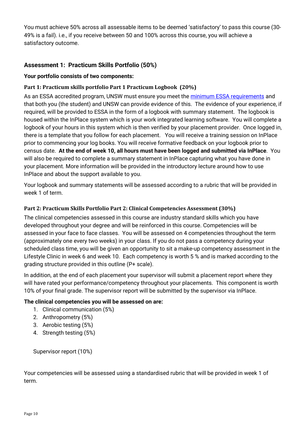You must achieve 50% across all assessable items to be deemed 'satisfactory' to pass this course (30- 49% is a fail). i.e., if you receive between 50 and 100% across this course, you will achieve a satisfactory outcome.

# **Assessment 1: Practicum Skills Portfolio (50%)**

## **Your portfolio consists of two components:**

## **Part 1: Practicum skills portfolio Part 1 Practicum Logbook (20%)**

As an ESSA accredited program, UNSW must ensure you meet the [minimum ESSA requirements](https://www.essa.org.au/Public/EDUCATION_PROVIDERS/Practicum.aspx) and that both you (the student) and UNSW can provide evidence of this. The evidence of your experience, if required, will be provided to ESSA in the form of a logbook with summary statement. The logbook is housed within the InPlace system which is your work integrated learning software. You will complete a logbook of your hours in this system which is then verified by your placement provider. Once logged in, there is a template that you follow for each placement. You will receive a training session on InPlace prior to commencing your log books. You will receive formative feedback on your logbook prior to census date. **At the end of week 10, all hours must have been logged and submitted via InPlace**. You will also be required to complete a summary statement in InPlace capturing what you have done in your placement. More information will be provided in the introductory lecture around how to use InPlace and about the support available to you.

Your logbook and summary statements will be assessed according to a rubric that will be provided in week 1 of term.

## **Part 2: Practicum Skills Portfolio Part 2: Clinical Competencies Assessment (30%)**

The clinical competencies assessed in this course are industry standard skills which you have developed throughout your degree and will be reinforced in this course. Competencies will be assessed in your face to face classes. You will be assessed on 4 competencies throughout the term (approximately one every two weeks) in your class. If you do not pass a competency during your scheduled class time, you will be given an opportunity to sit a make-up competency assessment in the Lifestyle Clinic in week 6 and week 10. Each competency is worth 5 % and is marked according to the grading structure provided in this outline (P+ scale).

In addition, at the end of each placement your supervisor will submit a placement report where they will have rated your performance/competency throughout your placements. This component is worth 10% of your final grade. The supervisor report will be submitted by the supervisor via InPlace.

## **The clinical competencies you will be assessed on are:**

- 1. Clinical communication (5%)
- 2. Anthropometry (5%)
- 3. Aerobic testing (5%)
- 4. Strength testing (5%)

Supervisor report (10%)

Your competencies will be assessed using a standardised rubric that will be provided in week 1 of term.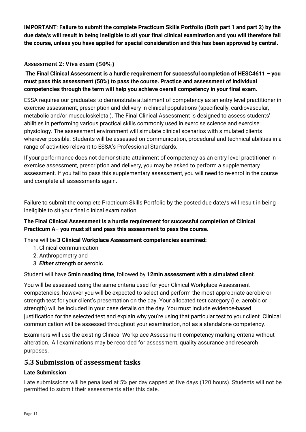**IMPORTANT**: **Failure to submit the complete Practicum Skills Portfolio (Both part 1 and part 2) by the due date/s will result in being ineligible to sit your final clinical examination and you will therefore fail the course, unless you have applied for special consideration and this has been approved by central.** 

# **Assessment 2: Viva exam (50%)**

**The Final Clinical Assessment is a hurdle requirement for successful completion of HESC4611 – you must pass this assessment (50%) to pass the course. Practice and assessment of individual competencies through the term will help you achieve overall competency in your final exam.** 

ESSA requires our graduates to demonstrate attainment of competency as an entry level practitioner in exercise assessment, prescription and delivery in clinical populations (specifically, cardiovascular, metabolic and/or musculoskeletal). The Final Clinical Assessment is designed to assess students' abilities in performing various practical skills commonly used in exercise science and exercise physiology. The assessment environment will simulate clinical scenarios with simulated clients wherever possible. Students will be assessed on communication, procedural and technical abilities in a range of activities relevant to ESSA's Professional Standards.

If your performance does not demonstrate attainment of competency as an entry level practitioner in exercise assessment, prescription and delivery, you may be asked to perform a supplementary assessment. If you fail to pass this supplementary assessment, you will need to re-enrol in the course and complete all assessments again.

Failure to submit the complete Practicum Skills Portfolio by the posted due date/s will result in being ineligible to sit your final clinical examination.

# **The Final Clinical Assessment is a hurdle requirement for successful completion of Clinical Practicum A– you must sit and pass this assessment to pass the course.**

There will be **3 Clinical Workplace Assessment competencies examined:**

- 1. Clinical communication
- 2. Anthropometry and
- 3. *Either* strength **or** aerobic

## Student will have **5min reading time**, followed by **12min assessment with a simulated client**.

You will be assessed using the same criteria used for your Clinical Workplace Assessment competencies, however you will be expected to select and perform the most appropriate aerobic or strength test for your client's presentation on the day. Your allocated test category (i.e. aerobic or strength) will be included in your case details on the day. You must include evidence-based justification for the selected test and explain why you're using that particular test to your client. Clinical communication will be assessed throughout your examination, not as a standalone competency.

Examiners will use the existing Clinical Workplace Assessment competency marking criteria without alteration. All examinations may be recorded for assessment, quality assurance and research purposes.

# <span id="page-10-0"></span>**5.3 Submission of assessment tasks**

## **Late Submission**

Late submissions will be penalised at 5% per day capped at five days (120 hours). Students will not be permitted to submit their assessments after this date.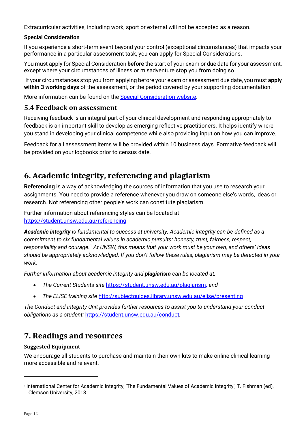Extracurricular activities, including work, sport or external will not be accepted as a reason.

## **Special Consideration**

If you experience a short-term event beyond your control (exceptional circumstances) that impacts your performance in a particular assessment task, you can apply for Special Considerations.

You must apply for Special Consideration **before** the start of your exam or due date for your assessment, except where your circumstances of illness or misadventure stop you from doing so.

If your circumstances stop you from applying before your exam or assessment due date, you must **apply within 3 working days** of the assessment, or the period covered by your supporting documentation.

More information can be found on the [Special Consideration website.](https://www.student.unsw.edu.au/special-consideration)

# <span id="page-11-0"></span>**5.4 Feedback on assessment**

Receiving feedback is an integral part of your clinical development and responding appropriately to feedback is an important skill to develop as emerging reflective practitioners. It helps identify where you stand in developing your clinical competence while also providing input on how you can improve.

Feedback for all assessment items will be provided within 10 business days. Formative feedback will be provided on your logbooks prior to census date.

# <span id="page-11-1"></span>**6. Academic integrity, referencing and plagiarism**

**Referencing** is a way of acknowledging the sources of information that you use to research your assignments. You need to provide a reference whenever you draw on someone else's words, ideas or research. Not referencing other people's work can constitute plagiarism.

Further information about referencing styles can be located at <https://student.unsw.edu.au/referencing>

*Academic integrity is fundamental to success at university. Academic integrity can be defined as a commitment to six fundamental values in academic pursuits: honesty, trust, fairness, respect,*  responsibility and courage.<sup>[1](#page-11-3)</sup> At UNSW, this means that your work must be your own, and others' ideas *should be appropriately acknowledged. If you don't follow these rules, plagiarism may be detected in your work.* 

*Further information about academic integrity and plagiarism can be located at:* 

- *The Current Students site* <https://student.unsw.edu.au/plagiarism>*, and*
- *The ELISE training site* <http://subjectguides.library.unsw.edu.au/elise/presenting>

*The Conduct and Integrity Unit provides further resources to assist you to understand your conduct obligations as a student:* <https://student.unsw.edu.au/conduct>*.* 

# <span id="page-11-2"></span>**7. Readings and resources**

## **Suggested Equipment**

We encourage all students to purchase and maintain their own kits to make online clinical learning more accessible and relevant.

<span id="page-11-3"></span><sup>1</sup> International Center for Academic Integrity, 'The Fundamental Values of Academic Integrity', T. Fishman (ed), Clemson University, 2013.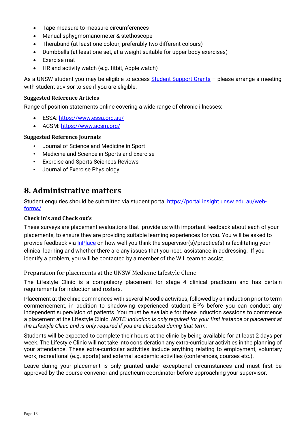- Tape measure to measure circumferences
- Manual sphygmomanometer & stethoscope
- Theraband (at least one colour, preferably two different colours)
- Dumbbells (at least one set, at a weight suitable for upper body exercises)
- Exercise mat
- HR and activity watch (e.g. fitbit, Apple watch)

As a UNSW student you may be eligible to access [Student Support Grants](https://student.unsw.edu.au/student-support-grants) – please arrange a meeting with student advisor to see if you are eligible.

#### **Suggested Reference Articles**

Range of position statements online covering a wide range of chronic illnesses:

- ESSA:<https://www.essa.org.au/>
- ACSM:<https://www.acsm.org/>

#### **Suggested Reference Journals**

- Journal of Science and Medicine in Sport
- Medicine and Science in Sports and Exercise
- Exercise and Sports Sciences Reviews
- Journal of Exercise Physiology

# <span id="page-12-0"></span>**8. Administrative matters**

Student enquiries should be submitted via student portal [https://portal.insight.unsw.edu.au/web](https://portal.insight.unsw.edu.au/web-forms/)[forms/](https://portal.insight.unsw.edu.au/web-forms/)

#### **Check in's and Check out's**

These surveys are placement evaluations that provide us with important feedback about each of your placements, to ensure they are providing suitable learning experiences for you. You will be asked to provide feedback via [InPlace](https://unsw-signon-au.inplacesoftware.com/) on how well you think the supervisor(s)/practice(s) is facilitating your clinical learning and whether there are any issues that you need assistance in addressing. If you identify a problem, you will be contacted by a member of the WIL team to assist.

Preparation for placements at the UNSW Medicine Lifestyle Clinic

The Lifestyle Clinic is a compulsory placement for stage 4 clinical practicum and has certain requirements for induction and rosters.

Placement at the clinic commences with several Moodle activities, followed by an induction prior to term commencement, in addition to shadowing experienced student EP's before you can conduct any independent supervision of patients. You must be available for these induction sessions to commence a placement at the Lifestyle Clinic. *NOTE: induction is only required for your first instance of placement at the Lifestyle Clinic and is only required if you are allocated during that term.*

Students will be expected to complete their hours at the clinic by being available for at least 2 days per week. The Lifestyle Clinic will not take into consideration any extra-curricular activities in the planning of your attendance. These extra-curricular activities include anything relating to employment, voluntary work, recreational (e.g. sports) and external academic activities (conferences, courses etc.).

Leave during your placement is only granted under exceptional circumstances and must first be approved by the course convenor and practicum coordinator before approaching your supervisor.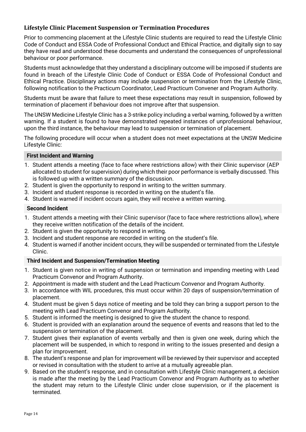## **Lifestyle Clinic Placement Suspension or Termination Procedures**

Prior to commencing placement at the Lifestyle Clinic students are required to read the Lifestyle Clinic Code of Conduct and ESSA Code of Professional Conduct and Ethical Practice, and digitally sign to say they have read and understood these documents and understand the consequences of unprofessional behaviour or poor performance.

Students must acknowledge that they understand a disciplinary outcome will be imposed if students are found in breach of the Lifestyle Clinic Code of Conduct or ESSA Code of Professional Conduct and Ethical Practice. Disciplinary actions may include suspension or termination from the Lifestyle Clinic, following notification to the Practicum Coordinator, Lead Practicum Convener and Program Authority.

Students must be aware that failure to meet these expectations may result in suspension, followed by termination of placement if behaviour does not improve after that suspension.

The UNSW Medicine Lifestyle Clinic has a 3-strike policy including a verbal warning, followed by a written warning. If a student is found to have demonstrated repeated instances of unprofessional behaviour, upon the third instance, the behaviour may lead to suspension or termination of placement.

The following procedure will occur when a student does not meet expectations at the UNSW Medicine Lifestyle Clinic:

#### **First Incident and Warning**

- 1. Student attends a meeting (face to face where restrictions allow) with their Clinic supervisor (AEP allocated to student for supervision) during which their poor performance is verbally discussed. This is followed up with a written summary of the discussion.
- 2. Student is given the opportunity to respond in writing to the written summary.
- 3. Incident and student response is recorded in writing on the student's file.
- 4. Student is warned if incident occurs again, they will receive a written warning.

#### **Second Incident**

- 1. Student attends a meeting with their Clinic supervisor (face to face where restrictions allow), where they receive written notification of the details of the incident.
- 2. Student is given the opportunity to respond in writing.
- 3. Incident and student response are recorded in writing on the student's file.
- 4. Student is warned if another incident occurs, they will be suspended or terminated from the Lifestyle Clinic.

#### **Third Incident and Suspension/Termination Meeting**

- 1. Student is given notice in writing of suspension or termination and impending meeting with Lead Practicum Convenor and Program Authority.
- 2. Appointment is made with student and the Lead Practicum Convenor and Program Authority.
- 3. In accordance with WIL procedures, this must occur within 20 days of suspension/termination of placement.
- 4. Student must be given 5 days notice of meeting and be told they can bring a support person to the meeting with Lead Practicum Convenor and Program Authority.
- 5. Student is informed the meeting is designed to give the student the chance to respond.
- 6. Student is provided with an explanation around the sequence of events and reasons that led to the suspension or termination of the placement.
- 7. Student gives their explanation of events verbally and then is given one week, during which the placement will be suspended, in which to respond in writing to the issues presented and design a plan for improvement.
- 8. The student's response and plan for improvement will be reviewed by their supervisor and accepted or revised in consultation with the student to arrive at a mutually agreeable plan.
- 9. Based on the student's response, and in consultation with Lifestyle Clinic management, a decision is made after the meeting by the Lead Practicum Convenor and Program Authority as to whether the student may return to the Lifestyle Clinic under close supervision, or if the placement is terminated.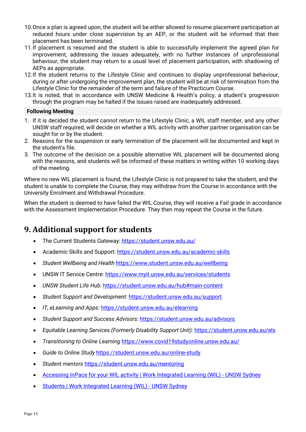- 10.Once a plan is agreed upon, the student will be either allowed to resume placement participation at reduced hours under close supervision by an AEP, or the student will be informed that their placement has been terminated.
- 11.If placement is resumed and the student is able to successfully implement the agreed plan for improvement, addressing the issues adequately, with no further instances of unprofessional behaviour, the student may return to a usual level of placement participation, with shadowing of AEPs as appropriate.
- 12.If the student returns to the Lifestyle Clinic and continues to display unprofessional behaviour, during or after undergoing the improvement plan, the student will be at risk of termination from the Lifestyle Clinic for the remainder of the term and failure of the Practicum Course.
- 13.It is noted, that in accordance with UNSW Medicine & Health's policy, a student's progression through the program may be halted if the issues raised are inadequately addressed.

#### **Following Meeting**

- 1. If it is decided the student cannot return to the Lifestyle Clinic, a WIL staff member, and any other UNSW staff required, will decide on whether a WIL activity with another partner organisation can be sought for or by the student.
- 2. Reasons for the suspension or early termination of the placement will be documented and kept in the student's file.
- 3. The outcome of the decision on a possible alternative WIL placement will be documented along with the reasons, and students will be informed of these matters in writing within 10 working days of the meeting.

Where no new WIL placement is found, the Lifestyle Clinic is not prepared to take the student, and the student is unable to complete the Course, they may withdraw from the Course in accordance with the University Enrolment and Withdrawal Procedure.

When the student is deemed to have failed the WIL Course, they will receive a Fail grade in accordance with the Assessment Implementation Procedure. They then may repeat the Course in the future.

# <span id="page-14-0"></span>**9. Additional support for students**

- The Current Students Gateway:<https://student.unsw.edu.au/>
- Academic Skills and Support:<https://student.unsw.edu.au/academic-skills>
- *Student Wellbeing and Health* <https://www.student.unsw.edu.au/wellbeing>
- UNSW IT Service Centre:<https://www.myit.unsw.edu.au/services/students>
- *UNSW Student Life Hub:* <https://student.unsw.edu.au/hub#main-content>
- *Student Support and Development:* <https://student.unsw.edu.au/support>
- *IT, eLearning and Apps:* <https://student.unsw.edu.au/elearning>
- *Student Support and Success Advisors:* <https://student.unsw.edu.au/advisors>
- *Equitable Learning Services (Formerly Disability Support Unit):* <https://student.unsw.edu.au/els>
- *Transitioning to Online Learning* <https://www.covid19studyonline.unsw.edu.au/>
- *Guide to Online Study* <https://student.unsw.edu.au/online-study>
- *Student mentors* <https://student.unsw.edu.au/mentoring>
- [Accessing InPace for your WIL activity | Work Integrated Learning \(WIL\) UNSW Sydney](https://www.wil.unsw.edu.au/students/your-wil-experience/preparing-your-wil-activity/accessing-inpace-your-wil-activity)
- [Students | Work Integrated Learning \(WIL\) UNSW Sydney](https://www.wil.unsw.edu.au/students)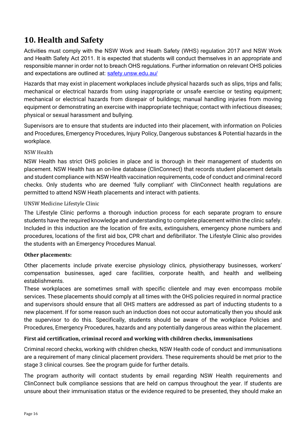# <span id="page-15-0"></span>**10. Health and Safety**

Activities must comply with the NSW Work and Heath Safety (WHS) regulation 2017 and NSW Work and Health Safety Act 2011. It is expected that students will conduct themselves in an appropriate and responsible manner in order not to breach OHS regulations. Further information on relevant OHS policies and expectations are outlined at: [safety.unsw.edu.au/](http://safety.unsw.edu.au/)

Hazards that may exist in placement workplaces include physical hazards such as slips, trips and falls; mechanical or electrical hazards from using inappropriate or unsafe exercise or testing equipment; mechanical or electrical hazards from disrepair of buildings; manual handling injuries from moving equipment or demonstrating an exercise with inappropriate technique; contact with infectious diseases; physical or sexual harassment and bullying.

Supervisors are to ensure that students are inducted into their placement, with information on Policies and Procedures, Emergency Procedures, Injury Policy, Dangerous substances & Potential hazards in the workplace.

#### NSW Health

NSW Health has strict OHS policies in place and is thorough in their management of students on placement. NSW Health has an on-line database (ClinConnect) that records student placement details and student compliance with NSW Health vaccination requirements, code of conduct and criminal record checks. Only students who are deemed 'fully compliant' with ClinConnect health regulations are permitted to attend NSW Heath placements and interact with patients.

#### UNSW Medicine Lifestyle Clinic

The Lifestyle Clinic performs a thorough induction process for each separate program to ensure students have the required knowledge and understanding to complete placement within the clinic safely. Included in this induction are the location of fire exits, extinguishers, emergency phone numbers and procedures, locations of the first aid box, CPR chart and defibrillator. The Lifestyle Clinic also provides the students with an Emergency Procedures Manual.

## **Other placements:**

Other placements include private exercise physiology clinics, physiotherapy businesses, workers' compensation businesses, aged care facilities, corporate health, and health and wellbeing establishments.

These workplaces are sometimes small with specific clientele and may even encompass mobile services. These placements should comply at all times with the OHS policies required in normal practice and supervisors should ensure that all OHS matters are addressed as part of inducting students to a new placement. If for some reason such an induction does not occur automatically then you should ask the supervisor to do this. Specifically, students should be aware of the workplace Policies and Procedures, Emergency Procedures, hazards and any potentially dangerous areas within the placement.

## **First aid certification, criminal record and working with children checks, immunisations**

Criminal record checks, working with children checks, NSW Health code of conduct and immunisations are a requirement of many clinical placement providers. These requirements should be met prior to the stage 3 clinical courses. See the program guide for further details.

The program authority will contact students by email regarding NSW Health requirements and ClinConnect bulk compliance sessions that are held on campus throughout the year. If students are unsure about their immunisation status or the evidence required to be presented, they should make an